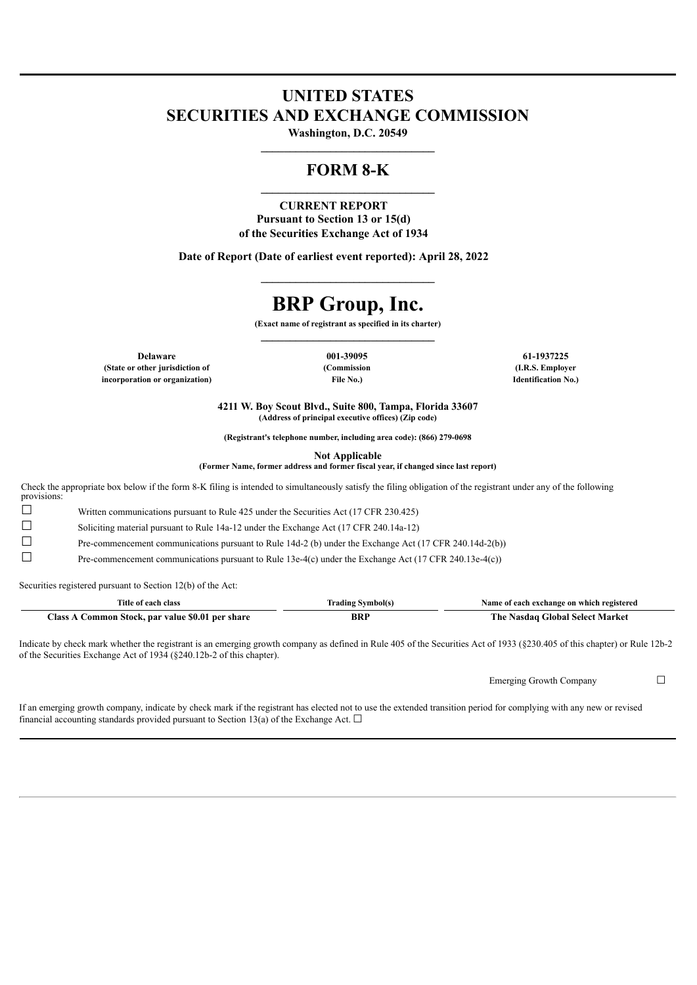# **UNITED STATES SECURITIES AND EXCHANGE COMMISSION**

**Washington, D.C. 20549 \_\_\_\_\_\_\_\_\_\_\_\_\_\_\_\_\_\_\_\_\_\_\_\_\_\_\_\_\_\_**

# **FORM 8-K \_\_\_\_\_\_\_\_\_\_\_\_\_\_\_\_\_\_\_\_\_\_\_\_\_\_\_\_\_\_**

### **CURRENT REPORT Pursuant to Section 13 or 15(d) of the Securities Exchange Act of 1934**

**Date of Report (Date of earliest event reported): April 28, 2022**

# **BRP Group, Inc.**

**\_\_\_\_\_\_\_\_\_\_\_\_\_\_\_\_\_\_\_\_\_\_\_\_\_\_\_\_\_\_**

**(Exact name of registrant as specified in its charter)**

**(State or other jurisdiction of (Commission (I.R.S. Employer incorporation or organization) File No.) Identification No.)**

**Delaware 001-39095 61-1937225**

**4211 W. Boy Scout Blvd., Suite 800, Tampa, Florida 33607 (Address of principal executive offices) (Zip code)**

**(Registrant's telephone number, including area code): (866) 279-0698**

**Not Applicable**

**(Former Name, former address and former fiscal year, if changed since last report)**

Check the appropriate box below if the form 8-K filing is intended to simultaneously satisfy the filing obligation of the registrant under any of the following provisions:

☐ Written communications pursuant to Rule 425 under the Securities Act (17 CFR 230.425)

☐ Soliciting material pursuant to Rule 14a-12 under the Exchange Act (17 CFR 240.14a-12)

☐ Pre-commencement communications pursuant to Rule 14d-2 (b) under the Exchange Act (17 CFR 240.14d-2(b))

☐ Pre-commencement communications pursuant to Rule 13e-4(c) under the Exchange Act (17 CFR 240.13e-4(c))

Securities registered pursuant to Section 12(b) of the Act:

| Title of each class                      | Symbol(s<br>rading | Name of each exchange on which registered |
|------------------------------------------|--------------------|-------------------------------------------|
| Common Stock, par value \$0.01 per share | BRI                | → Nasdaɑ Global Select Market             |
| <b>lass</b>                              |                    | r he-                                     |

Indicate by check mark whether the registrant is an emerging growth company as defined in Rule 405 of the Securities Act of 1933 (§230.405 of this chapter) or Rule 12b-2 of the Securities Exchange Act of 1934 (§240.12b-2 of this chapter).

Emerging Growth Company □

If an emerging growth company, indicate by check mark if the registrant has elected not to use the extended transition period for complying with any new or revised financial accounting standards provided pursuant to Section 13(a) of the Exchange Act.  $\Box$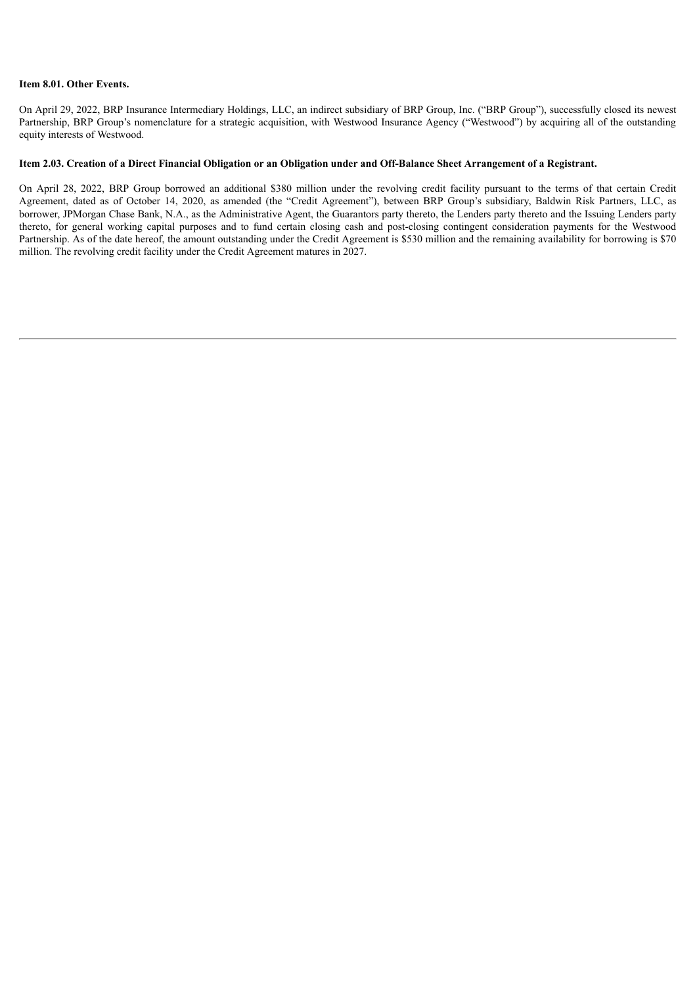#### **Item 8.01. Other Events.**

On April 29, 2022, BRP Insurance Intermediary Holdings, LLC, an indirect subsidiary of BRP Group, Inc. ("BRP Group"), successfully closed its newest Partnership, BRP Group's nomenclature for a strategic acquisition, with Westwood Insurance Agency ("Westwood") by acquiring all of the outstanding equity interests of Westwood.

#### Item 2.03. Creation of a Direct Financial Obligation or an Obligation under and Off-Balance Sheet Arrangement of a Registrant.

On April 28, 2022, BRP Group borrowed an additional \$380 million under the revolving credit facility pursuant to the terms of that certain Credit Agreement, dated as of October 14, 2020, as amended (the "Credit Agreement"), between BRP Group's subsidiary, Baldwin Risk Partners, LLC, as borrower, JPMorgan Chase Bank, N.A., as the Administrative Agent, the Guarantors party thereto, the Lenders party thereto and the Issuing Lenders party thereto, for general working capital purposes and to fund certain closing cash and post-closing contingent consideration payments for the Westwood Partnership. As of the date hereof, the amount outstanding under the Credit Agreement is \$530 million and the remaining availability for borrowing is \$70 million. The revolving credit facility under the Credit Agreement matures in 2027.